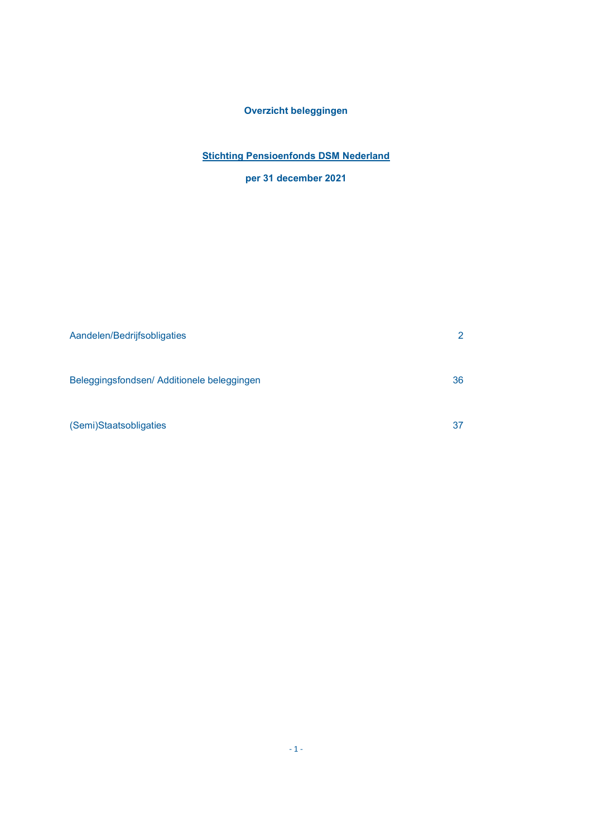## Overzicht beleggingen

## **Stichting Pensioenfonds DSM Nederland**

# per 31 december 2021

| Aandelen/Bedrijfsobligaties                | 2  |
|--------------------------------------------|----|
|                                            |    |
| Beleggingsfondsen/ Additionele beleggingen | 36 |
|                                            |    |
| (Semi)Staatsobligaties                     | 37 |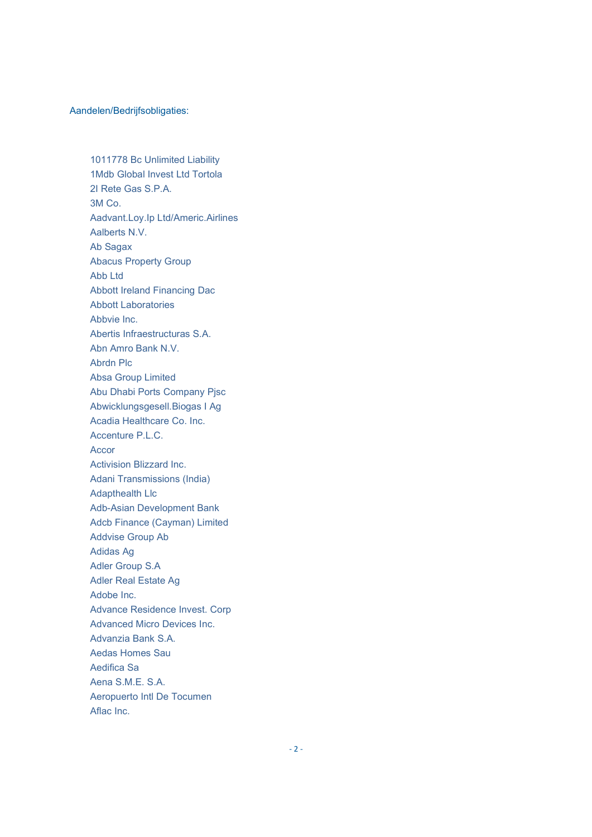### Aandelen/Bedrijfsobligaties:

1011778 Bc Unlimited Liability 1Mdb Global Invest Ltd Tortola 2I Rete Gas S.P.A. 3M Co. Aadvant.Loy.Ip Ltd/Americ.Airlines Aalberts N.V. Ab Sagax Abacus Property Group Abb Ltd Abbott Ireland Financing Dac Abbott Laboratories Abbvie Inc. Abertis Infraestructuras S.A. Abn Amro Bank N.V. Abrdn Plc Absa Group Limited Abu Dhabi Ports Company Pjsc Abwicklungsgesell.Biogas I Ag Acadia Healthcare Co. Inc. Accenture P.L.C. Accor Activision Blizzard Inc. Adani Transmissions (India) Adapthealth Llc Adb-Asian Development Bank Adcb Finance (Cayman) Limited Addvise Group Ab Adidas Ag Adler Group S.A Adler Real Estate Ag Adobe Inc. Advance Residence Invest. Corp Advanced Micro Devices Inc. Advanzia Bank S.A. Aedas Homes Sau Aedifica Sa Aena S.M.E. S.A. Aeropuerto Intl De Tocumen Aflac Inc.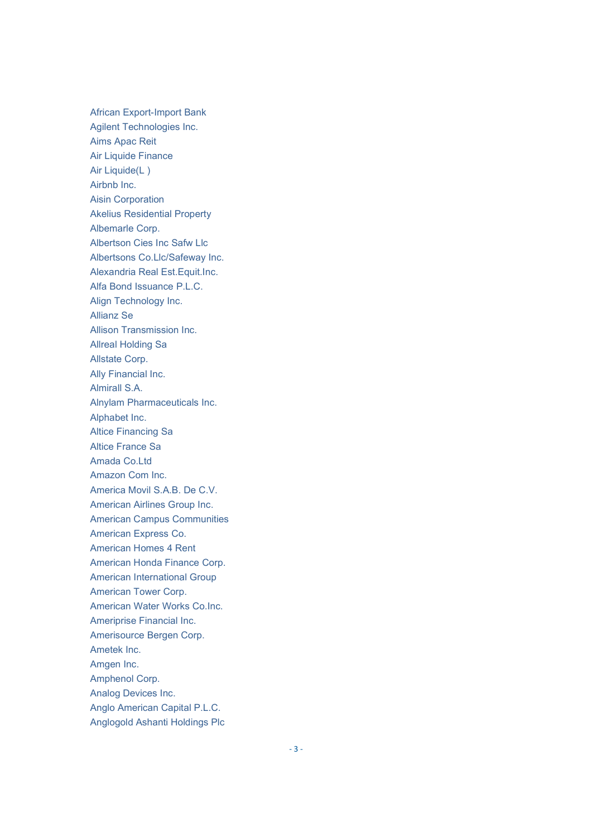**African Export-Import Bank** Agilent Technologies Inc. Aims Apac Reit **Air Liquide Finance** Air Liquide(L) Airbnb Inc. **Aisin Corporation Akelius Residential Property** Albemarle Corp. Albertson Cies Inc Safw Llc Albertsons Co.Llc/Safeway Inc. Alexandria Real Est. Equit. Inc. Alfa Bond Issuance P.L.C. Align Technology Inc. **Allianz Se** Allison Transmission Inc. **Allreal Holding Sa** Allstate Corp. Ally Financial Inc. Almirall S.A. Alnylam Pharmaceuticals Inc. Alphabet Inc. **Altice Financing Sa** Altice France Sa Amada Co.Ltd Amazon Com Inc. America Movil S.A.B. De C.V. American Airlines Group Inc. **American Campus Communities** American Express Co. **American Homes 4 Rent** American Honda Finance Corp. **American International Group** American Tower Corp. American Water Works Co.Inc. Ameriprise Financial Inc. Amerisource Bergen Corp. Ametek Inc. Amgen Inc. Amphenol Corp. Analog Devices Inc. Anglo American Capital P.L.C. Anglogold Ashanti Holdings Plc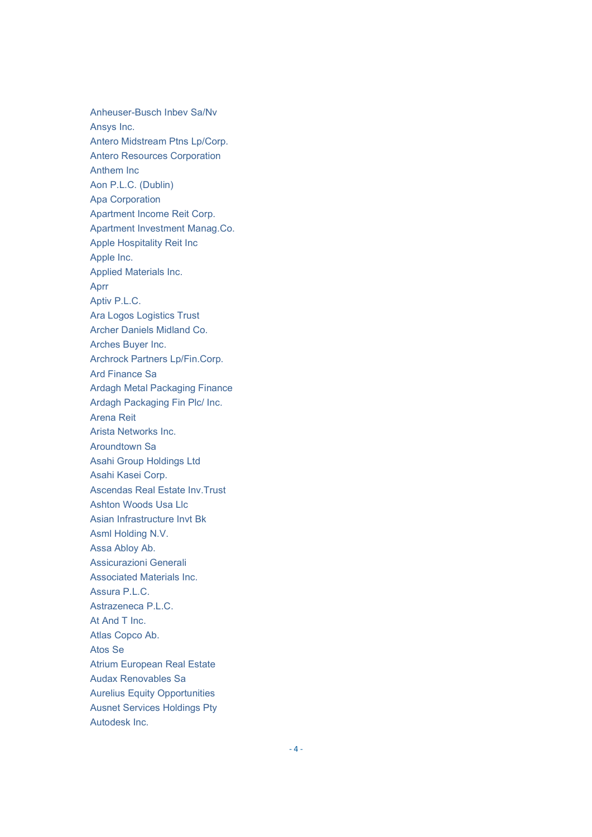Anheuser-Busch Inbev Sa/Nv Ansys Inc. Antero Midstream Ptns Lp/Corp. **Antero Resources Corporation** Anthem Inc. Aon P.L.C. (Dublin) **Apa Corporation** Apartment Income Reit Corp. Apartment Investment Manag.Co. Apple Hospitality Reit Inc Apple Inc. Applied Materials Inc. Aprr Aptiv P.L.C. **Ara Logos Logistics Trust** Archer Daniels Midland Co. Arches Buyer Inc. Archrock Partners Lp/Fin.Corp. **Ard Finance Sa Ardagh Metal Packaging Finance** Ardagh Packaging Fin Plc/ Inc. **Arena Reit** Arista Networks Inc. Aroundtown Sa Asahi Group Holdings Ltd Asahi Kasei Corp. Ascendas Real Estate Inv. Trust Ashton Woods Usa Llc Asian Infrastructure Invt Bk Asml Holding N.V. Assa Abloy Ab. Assicurazioni Generali Associated Materials Inc. Assura P.L.C. Astrazeneca P.L.C. At And T Inc. Atlas Copco Ab. Atos Se **Atrium European Real Estate Audax Renovables Sa Aurelius Equity Opportunities Ausnet Services Holdings Pty** Autodesk Inc.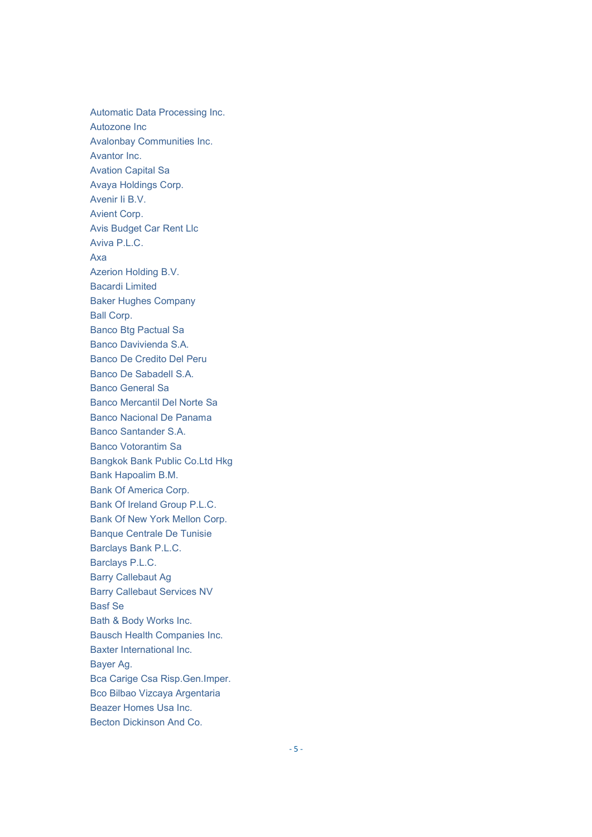Automatic Data Processing Inc. Autozone Inc Avalonbay Communities Inc. Avantor Inc. Avation Capital Sa Avaya Holdings Corp. Avenir Ii B.V. Avient Corp. Avis Budget Car Rent Llc Aviva P.L.C. Axa Azerion Holding B.V. Bacardi Limited Baker Hughes Company Ball Corp. Banco Btg Pactual Sa Banco Davivienda S.A. Banco De Credito Del Peru Banco De Sabadell S.A. Banco General Sa Banco Mercantil Del Norte Sa Banco Nacional De Panama Banco Santander S.A. Banco Votorantim Sa Bangkok Bank Public Co.Ltd Hkg Bank Hapoalim B.M. Bank Of America Corp. Bank Of Ireland Group P.L.C. Bank Of New York Mellon Corp. Banque Centrale De Tunisie Barclays Bank P.L.C. Barclays P.L.C. Barry Callebaut Ag Barry Callebaut Services NV Basf Se Bath & Body Works Inc. Bausch Health Companies Inc. Baxter International Inc. Bayer Ag. Bca Carige Csa Risp.Gen.Imper. Bco Bilbao Vizcaya Argentaria Beazer Homes Usa Inc. Becton Dickinson And Co.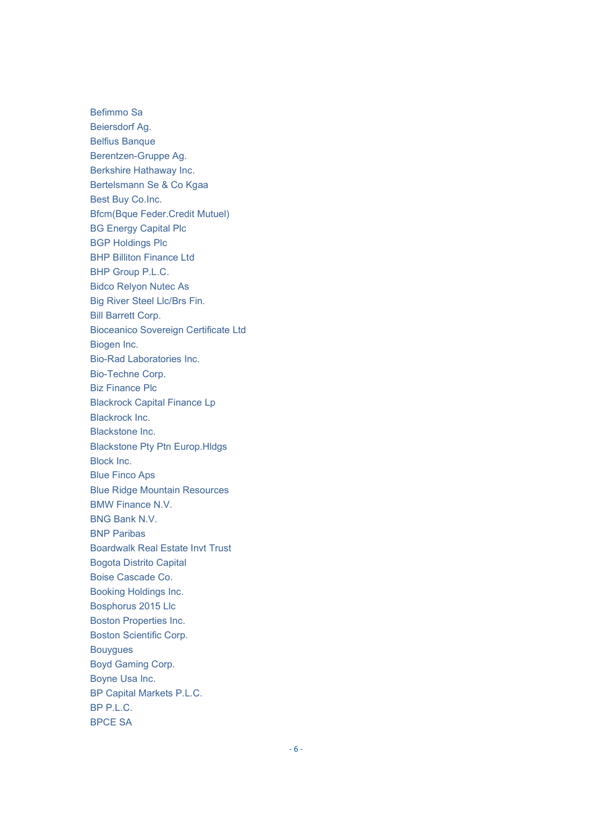Befimmo Sa Beiersdorf Ag. Belfius Banque Berentzen-Gruppe Ag. Berkshire Hathaway Inc. Bertelsmann Se & Co Kgaa Best Buy Co.Inc. Bfcm(Bque Feder.Credit Mutuel) BG Energy Capital Plc BGP Holdings Plc BHP Billiton Finance Ltd BHP Group P.L.C. Bidco Relyon Nutec As Big River Steel Llc/Brs Fin. Bill Barrett Corp. Bioceanico Sovereign Certificate Ltd Biogen Inc. Bio-Rad Laboratories Inc. Bio-Techne Corp. Biz Finance Plc Blackrock Capital Finance Lp Blackrock Inc. Blackstone Inc. Blackstone Pty Ptn Europ.Hldgs Block Inc. Blue Finco Aps Blue Ridge Mountain Resources BMW Finance N.V. BNG Bank N.V. BNP Paribas Boardwalk Real Estate Invt Trust Bogota Distrito Capital Boise Cascade Co. Booking Holdings Inc. Bosphorus 2015 Llc Boston Properties Inc. Boston Scientific Corp. Bouygues Boyd Gaming Corp. Boyne Usa Inc. BP Capital Markets P.L.C. BP P.L.C. BPCE SA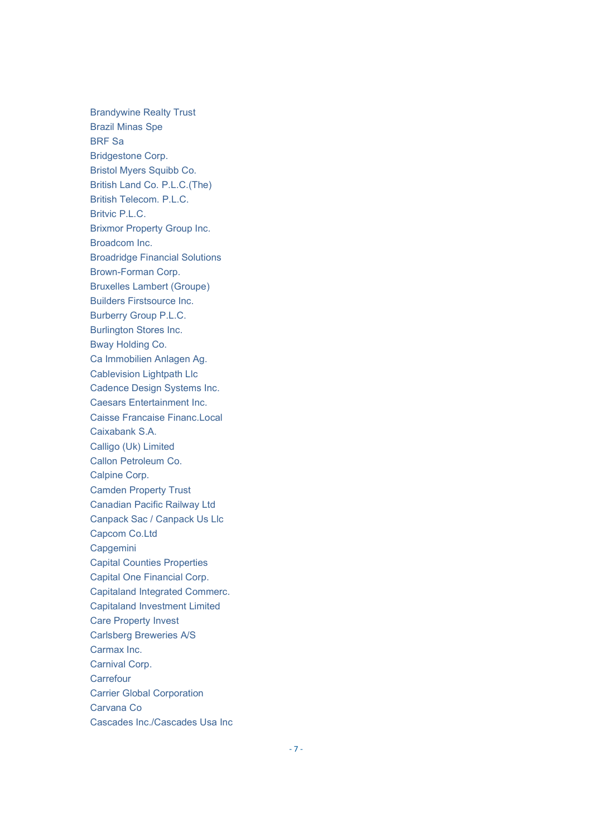Brandywine Realty Trust Brazil Minas Spe BRF Sa Bridgestone Corp. Bristol Myers Squibb Co. British Land Co. P.L.C.(The) British Telecom. P.L.C. Britvic P.L.C. Brixmor Property Group Inc. Broadcom Inc. Broadridge Financial Solutions Brown-Forman Corp. Bruxelles Lambert (Groupe) Builders Firstsource Inc. Burberry Group P.L.C. Burlington Stores Inc. Bway Holding Co. Ca Immobilien Anlagen Ag. Cablevision Lightpath Llc Cadence Design Systems Inc. Caesars Entertainment Inc. Caisse Francaise Financ.Local Caixabank S.A. Calligo (Uk) Limited Callon Petroleum Co. Calpine Corp. Camden Property Trust Canadian Pacific Railway Ltd Canpack Sac / Canpack Us Llc Capcom Co.Ltd Capgemini Capital Counties Properties Capital One Financial Corp. Capitaland Integrated Commerc. Capitaland Investment Limited Care Property Invest Carlsberg Breweries A/S Carmax Inc. Carnival Corp. **Carrefour** Carrier Global Corporation Carvana Co Cascades Inc./Cascades Usa Inc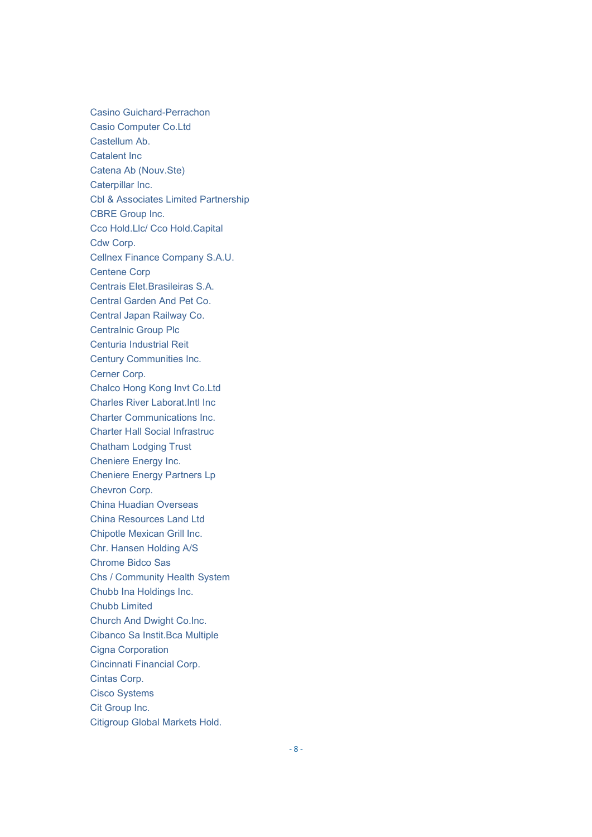Casino Guichard-Perrachon Casio Computer Co.Ltd Castellum Ab. Catalent Inc Catena Ab (Nouv.Ste) Caterpillar Inc. Cbl & Associates Limited Partnership CBRE Group Inc. Cco Hold.Llc/ Cco Hold.Capital Cdw Corp. Cellnex Finance Company S.A.U. Centene Corp Centrais Elet.Brasileiras S.A. Central Garden And Pet Co. Central Japan Railway Co. Centralnic Group Plc Centuria Industrial Reit Century Communities Inc. Cerner Corp. Chalco Hong Kong Invt Co.Ltd Charles River Laborat.Intl Inc Charter Communications Inc. Charter Hall Social Infrastruc Chatham Lodging Trust Cheniere Energy Inc. Cheniere Energy Partners Lp Chevron Corp. China Huadian Overseas China Resources Land Ltd Chipotle Mexican Grill Inc. Chr. Hansen Holding A/S Chrome Bidco Sas Chs / Community Health System Chubb Ina Holdings Inc. Chubb Limited Church And Dwight Co.Inc. Cibanco Sa Instit.Bca Multiple Cigna Corporation Cincinnati Financial Corp. Cintas Corp. Cisco Systems Cit Group Inc. Citigroup Global Markets Hold.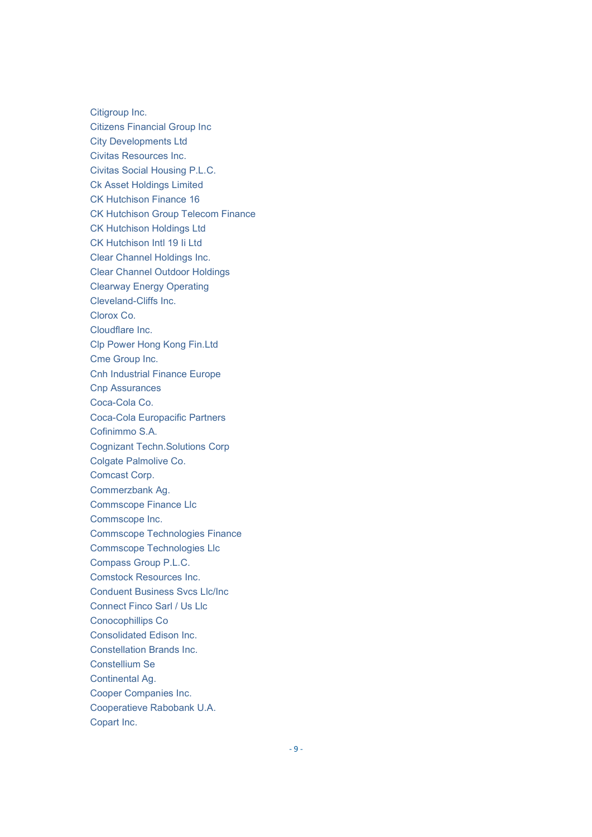Citigroup Inc. Citizens Financial Group Inc City Developments Ltd Civitas Resources Inc. Civitas Social Housing P.L.C. Ck Asset Holdings Limited CK Hutchison Finance 16 CK Hutchison Group Telecom Finance CK Hutchison Holdings Ltd CK Hutchison Intl 19 Ii Ltd Clear Channel Holdings Inc. Clear Channel Outdoor Holdings Clearway Energy Operating Cleveland-Cliffs Inc. Clorox Co. Cloudflare Inc. Clp Power Hong Kong Fin.Ltd Cme Group Inc. Cnh Industrial Finance Europe Cnp Assurances Coca-Cola Co. Coca-Cola Europacific Partners Cofinimmo S.A. Cognizant Techn.Solutions Corp Colgate Palmolive Co. Comcast Corp. Commerzbank Ag. Commscope Finance Llc Commscope Inc. Commscope Technologies Finance Commscope Technologies Llc Compass Group P.L.C. Comstock Resources Inc. Conduent Business Svcs Llc/Inc Connect Finco Sarl / Us Llc Conocophillips Co Consolidated Edison Inc. Constellation Brands Inc. Constellium Se Continental Ag. Cooper Companies Inc. Cooperatieve Rabobank U.A. Copart Inc.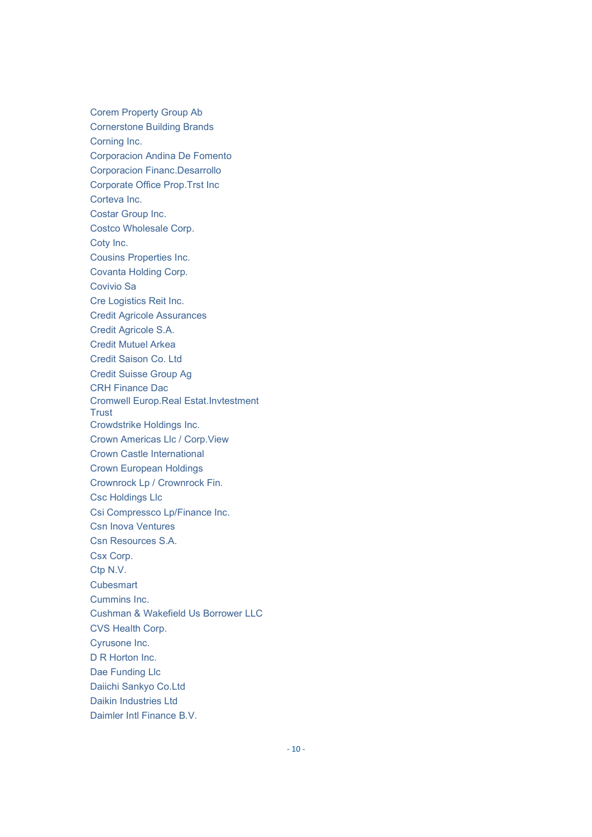Corem Property Group Ab Cornerstone Building Brands Corning Inc. Corporacion Andina De Fomento Corporacion Financ.Desarrollo Corporate Office Prop.Trst Inc Corteva Inc. Costar Group Inc. Costco Wholesale Corp. Coty Inc. Cousins Properties Inc. Covanta Holding Corp. Covivio Sa Cre Logistics Reit Inc. Credit Agricole Assurances Credit Agricole S.A. Credit Mutuel Arkea Credit Saison Co. Ltd Credit Suisse Group Ag CRH Finance Dac Cromwell Europ.Real Estat.Invtestment **Trust** Crowdstrike Holdings Inc. Crown Americas Llc / Corp.View Crown Castle International Crown European Holdings Crownrock Lp / Crownrock Fin. Csc Holdings Llc Csi Compressco Lp/Finance Inc. Csn Inova Ventures Csn Resources S.A. Csx Corp. Ctp N.V. **Cubesmart** Cummins Inc. Cushman & Wakefield Us Borrower LLC CVS Health Corp. Cyrusone Inc. D R Horton Inc. Dae Funding Llc Daiichi Sankyo Co.Ltd Daikin Industries Ltd Daimler Intl Finance B.V.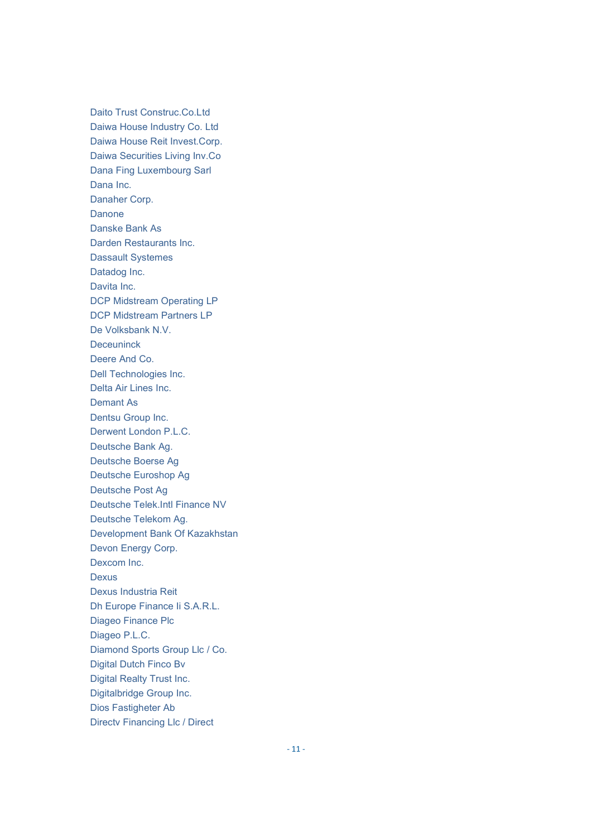Daito Trust Construc.Co.Ltd Daiwa House Industry Co. Ltd Daiwa House Reit Invest.Corp. Daiwa Securities Living Inv.Co Dana Fing Luxembourg Sarl Dana Inc. Danaher Corp. Danone Danske Bank As Darden Restaurants Inc. Dassault Systemes Datadog Inc. Davita Inc. DCP Midstream Operating LP DCP Midstream Partners LP De Volksbank N.V. Deceuninck Deere And Co. Dell Technologies Inc. Delta Air Lines Inc. Demant As Dentsu Group Inc. Derwent London P.L.C. Deutsche Bank Ag. Deutsche Boerse Ag Deutsche Euroshop Ag Deutsche Post Ag Deutsche Telek.Intl Finance NV Deutsche Telekom Ag. Development Bank Of Kazakhstan Devon Energy Corp. Dexcom Inc. **Dexus** Dexus Industria Reit Dh Europe Finance Ii S.A.R.L. Diageo Finance Plc Diageo P.L.C. Diamond Sports Group Llc / Co. Digital Dutch Finco Bv Digital Realty Trust Inc. Digitalbridge Group Inc. Dios Fastigheter Ab Directv Financing Llc / Direct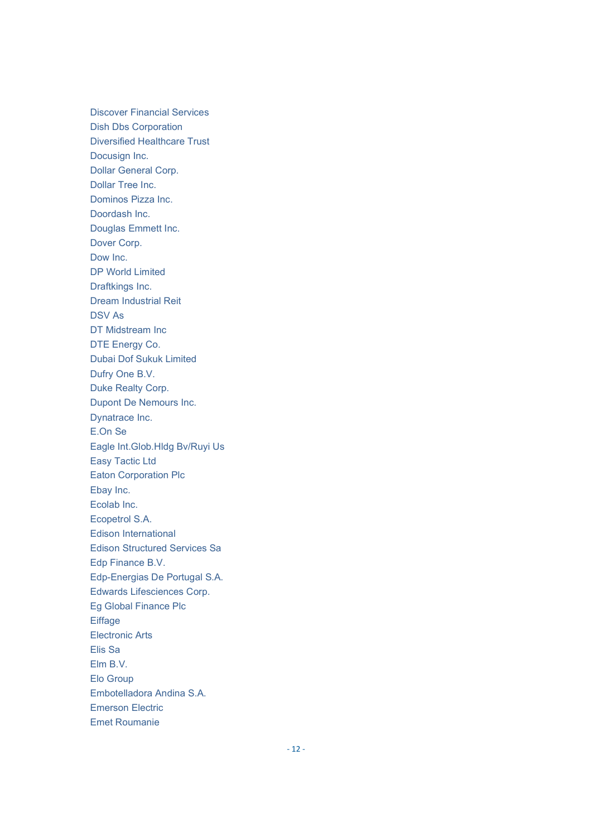**Discover Financial Services Dish Dbs Corporation Diversified Healthcare Trust** Docusign Inc. **Dollar General Corp.** Dollar Tree Inc. Dominos Pizza Inc. Doordash Inc. Douglas Emmett Inc. Dover Corp. Dow Inc. **DP World Limited** Draftkings Inc. **Dream Industrial Reit DSV As** DT Midstream Inc DTE Energy Co. **Dubai Dof Sukuk Limited** Dufry One B.V. Duke Realty Corp. Dupont De Nemours Inc. Dynatrace Inc. E.On Se Eagle Int.Glob.Hldg Bv/Ruyi Us **Easy Tactic Ltd Eaton Corporation Plc** Ebay Inc. Ecolab Inc. Ecopetrol S.A. Edison International **Edison Structured Services Sa** Edp Finance B.V. Edp-Energias De Portugal S.A. Edwards Lifesciences Corp. Eg Global Finance Plc Eiffage **Electronic Arts** Elis Sa Elm B.V. Elo Group Embotelladora Andina S.A. **Emerson Electric Emet Roumanie**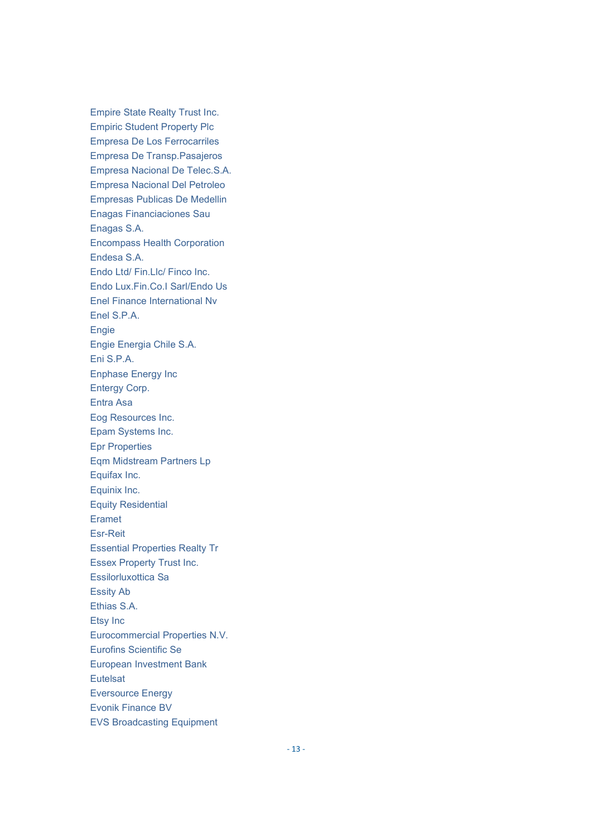**Empire State Realty Trust Inc. Empiric Student Property Plc** Empresa De Los Ferrocarriles Empresa De Transp.Pasajeros Empresa Nacional De Telec.S.A. **Empresa Nacional Del Petroleo Empresas Publicas De Medellin** Enagas Financiaciones Sau Enagas S.A. **Encompass Health Corporation** Endesa S.A. Endo Ltd/ Fin.Llc/ Finco Inc. Endo Lux.Fin.Co.I Sarl/Endo Us Enel Finance International Nv Enel S.P.A. Engie Engie Energia Chile S.A. Eni S.P.A. **Enphase Energy Inc Entergy Corp.** Entra Asa Eog Resources Inc. Epam Systems Inc. **Epr Properties** Eqm Midstream Partners Lp Equifax Inc. Equinix Inc. **Equity Residential** Eramet Esr-Reit **Essential Properties Realty Tr Essex Property Trust Inc.** Essilorluxottica Sa **Essity Ab** Ethias S.A. Etsy Inc Eurocommercial Properties N.V. **Eurofins Scientific Se** European Investment Bank Eutelsat **Eversource Energy Evonik Finance BV EVS Broadcasting Equipment**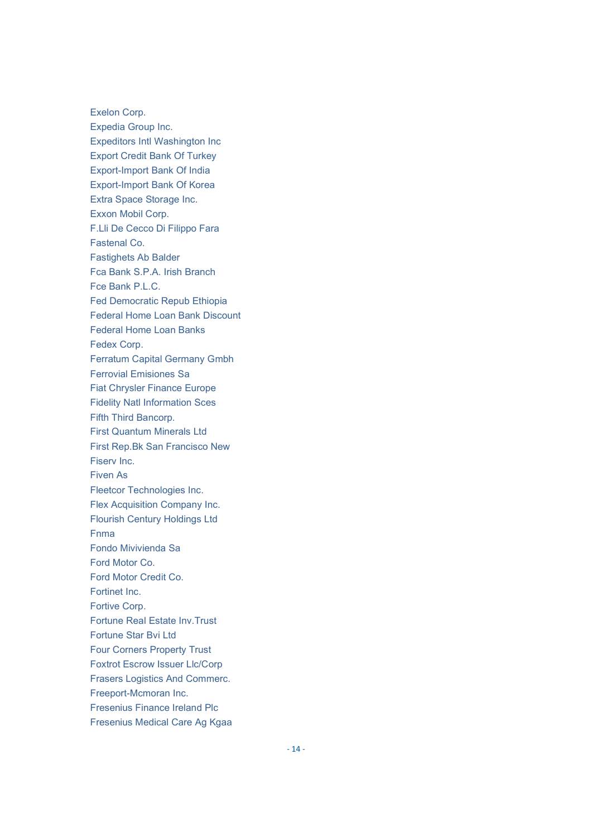Exelon Corp. Expedia Group Inc. Expeditors Intl Washington Inc Export Credit Bank Of Turkey Export-Import Bank Of India Export-Import Bank Of Korea Extra Space Storage Inc. Exxon Mobil Corp. F.Lli De Cecco Di Filippo Fara Fastenal Co. Fastighets Ab Balder Fca Bank S.P.A. Irish Branch Fce Bank P.L.C. Fed Democratic Repub Ethiopia Federal Home Loan Bank Discount Federal Home Loan Banks Fedex Corp. Ferratum Capital Germany Gmbh Ferrovial Emisiones Sa Fiat Chrysler Finance Europe Fidelity Natl Information Sces Fifth Third Bancorp. First Quantum Minerals Ltd First Rep.Bk San Francisco New Fiserv Inc. Fiven As Fleetcor Technologies Inc. Flex Acquisition Company Inc. Flourish Century Holdings Ltd Fnma Fondo Mivivienda Sa Ford Motor Co. Ford Motor Credit Co. Fortinet Inc. Fortive Corp. Fortune Real Estate Inv.Trust Fortune Star Bvi Ltd Four Corners Property Trust Foxtrot Escrow Issuer Llc/Corp Frasers Logistics And Commerc. Freeport-Mcmoran Inc. Fresenius Finance Ireland Plc Fresenius Medical Care Ag Kgaa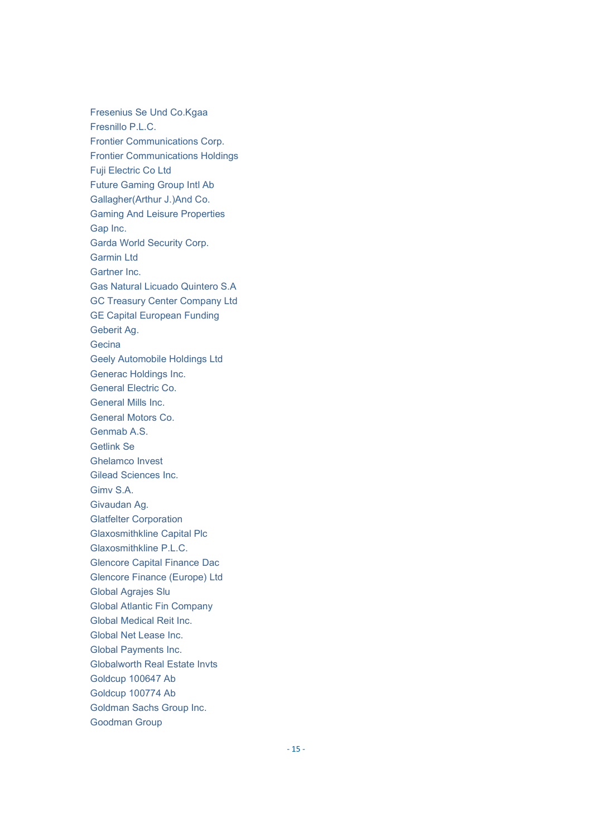Fresenius Se Und Co.Kgaa Fresnillo P.L.C. Frontier Communications Corp. Frontier Communications Holdings Fuji Electric Co Ltd Future Gaming Group Intl Ab Gallagher(Arthur J.)And Co. Gaming And Leisure Properties Gap Inc. Garda World Security Corp. Garmin Ltd Gartner Inc. Gas Natural Licuado Quintero S.A GC Treasury Center Company Ltd GE Capital European Funding Geberit Ag. **Gecina** Geely Automobile Holdings Ltd Generac Holdings Inc. General Electric Co. General Mills Inc. General Motors Co. Genmab A.S. Getlink Se Ghelamco Invest Gilead Sciences Inc. Gimv S.A. Givaudan Ag. Glatfelter Corporation Glaxosmithkline Capital Plc Glaxosmithkline P.L.C. Glencore Capital Finance Dac Glencore Finance (Europe) Ltd Global Agrajes Slu Global Atlantic Fin Company Global Medical Reit Inc. Global Net Lease Inc. Global Payments Inc. Globalworth Real Estate Invts Goldcup 100647 Ab Goldcup 100774 Ab Goldman Sachs Group Inc. Goodman Group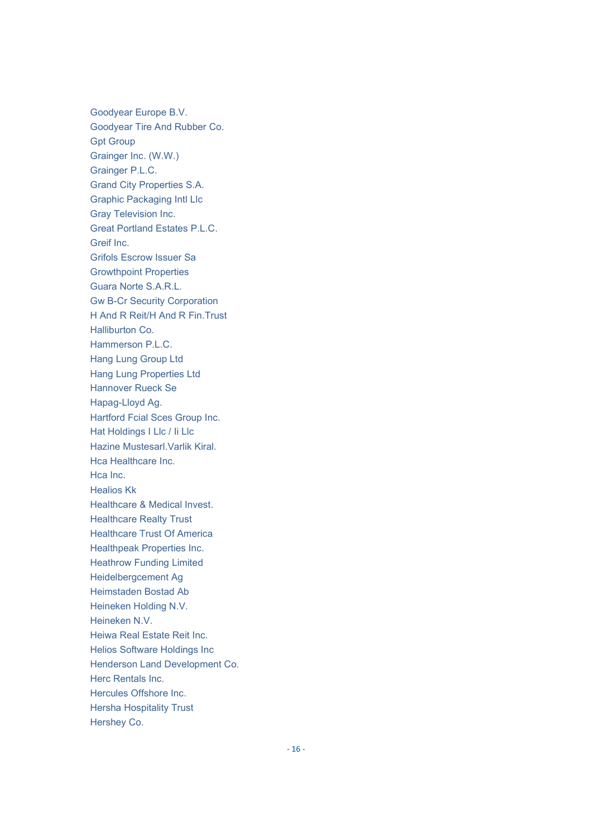Goodyear Europe B.V. Goodyear Tire And Rubber Co. Gpt Group Grainger Inc. (W.W.) Grainger P.L.C. Grand City Properties S.A. Graphic Packaging Intl Llc Gray Television Inc. Great Portland Estates P.L.C. Greif Inc. Grifols Escrow Issuer Sa Growthpoint Properties Guara Norte S.A.R.L. Gw B-Cr Security Corporation H And R Reit/H And R Fin.Trust Halliburton Co. Hammerson P.L.C. Hang Lung Group Ltd Hang Lung Properties Ltd Hannover Rueck Se Hapag-Lloyd Ag. Hartford Fcial Sces Group Inc. Hat Holdings I Llc / Ii Llc Hazine Mustesarl.Varlik Kiral. Hca Healthcare Inc. Hca Inc. Healios Kk Healthcare & Medical Invest. Healthcare Realty Trust Healthcare Trust Of America Healthpeak Properties Inc. Heathrow Funding Limited Heidelbergcement Ag Heimstaden Bostad Ab Heineken Holding N.V. Heineken N.V. Heiwa Real Estate Reit Inc. Helios Software Holdings Inc Henderson Land Development Co. Herc Rentals Inc. Hercules Offshore Inc. Hersha Hospitality Trust Hershey Co.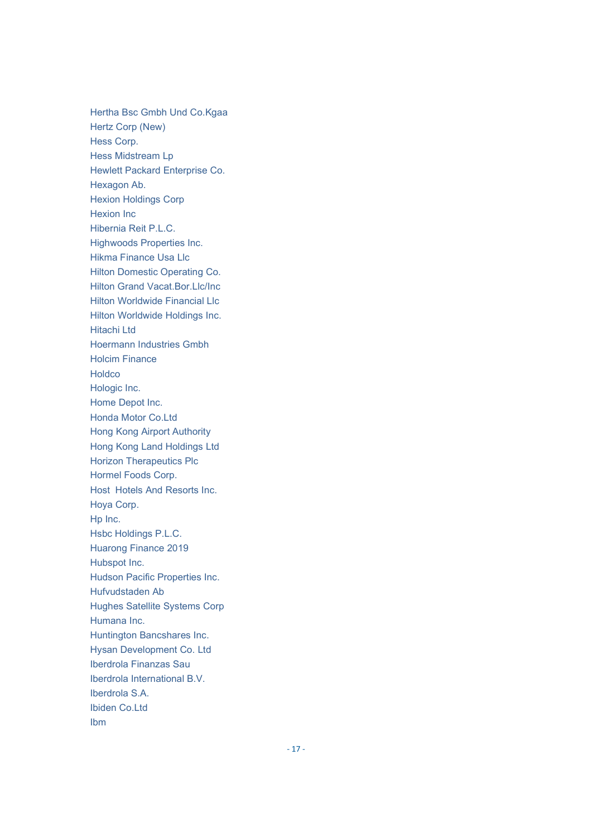Hertha Bsc Gmbh Und Co.Kgaa Hertz Corp (New) Hess Corp. Hess Midstream Lp Hewlett Packard Enterprise Co. Hexagon Ab. Hexion Holdings Corp Hexion Inc Hibernia Reit P.L.C. Highwoods Properties Inc. Hikma Finance Usa Llc Hilton Domestic Operating Co. Hilton Grand Vacat.Bor.Llc/Inc Hilton Worldwide Financial Llc Hilton Worldwide Holdings Inc. Hitachi Ltd Hoermann Industries Gmbh Holcim Finance Holdco Hologic Inc. Home Depot Inc. Honda Motor Co.Ltd Hong Kong Airport Authority Hong Kong Land Holdings Ltd Horizon Therapeutics Plc Hormel Foods Corp. Host Hotels And Resorts Inc. Hoya Corp. Hp Inc. Hsbc Holdings P.L.C. Huarong Finance 2019 Hubspot Inc. Hudson Pacific Properties Inc. Hufvudstaden Ab Hughes Satellite Systems Corp Humana Inc. Huntington Bancshares Inc. Hysan Development Co. Ltd Iberdrola Finanzas Sau Iberdrola International B.V. Iberdrola S.A. Ibiden Co.Ltd Ibm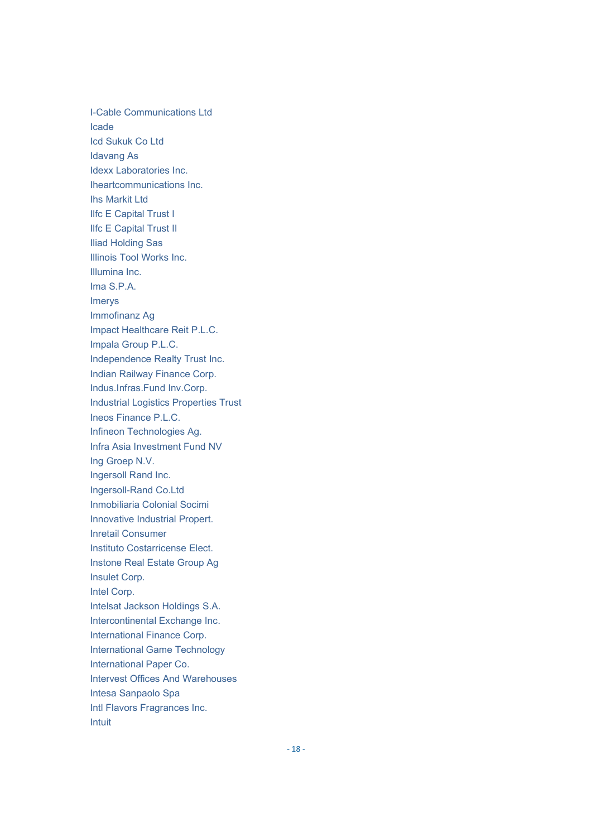**I-Cable Communications Ltd** Icade **Icd Sukuk Co Ltd Idavang As** Idexx Laboratories Inc. Iheartcommunications Inc. **Ihs Markit Ltd Ilfc E Capital Trust I Ilfc E Capital Trust II Iliad Holding Sas** Illinois Tool Works Inc. Illumina Inc. Ima S.P.A. Imerys Immofinanz Ag Impact Healthcare Reit P.L.C. Impala Group P.L.C. Independence Realty Trust Inc. Indian Railway Finance Corp. Indus.Infras.Fund Inv.Corp. **Industrial Logistics Properties Trust** Ineos Finance P.L.C. Infineon Technologies Ag. Infra Asia Investment Fund NV Ing Groep N.V. Ingersoll Rand Inc. Ingersoll-Rand Co.Ltd Inmobiliaria Colonial Socimi **Innovative Industrial Propert. Inretail Consumer** Instituto Costarricense Elect. Instone Real Estate Group Ag Insulet Corp. Intel Corp. Intelsat Jackson Holdings S.A. Intercontinental Exchange Inc. International Finance Corp. **International Game Technology** International Paper Co. **Intervest Offices And Warehouses** Intesa Sanpaolo Spa Intl Flavors Fragrances Inc. Intuit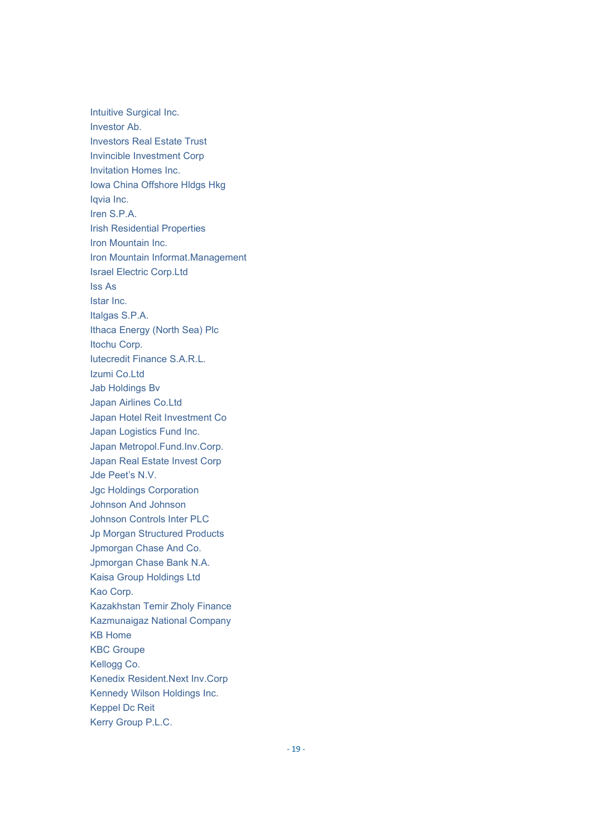Intuitive Surgical Inc. Investor Ab. Investors Real Estate Trust Invincible Investment Corp Invitation Homes Inc. Iowa China Offshore Hldgs Hkg Iqvia Inc. Iren S.P.A. Irish Residential Properties Iron Mountain Inc. Iron Mountain Informat.Management Israel Electric Corp.Ltd Iss As Istar Inc. Italgas S.P.A. Ithaca Energy (North Sea) Plc Itochu Corp. Iutecredit Finance S.A.R.L. Izumi Co.Ltd Jab Holdings Bv Japan Airlines Co.Ltd Japan Hotel Reit Investment Co Japan Logistics Fund Inc. Japan Metropol.Fund.Inv.Corp. Japan Real Estate Invest Corp Jde Peet's N.V. Jgc Holdings Corporation Johnson And Johnson Johnson Controls Inter PLC Jp Morgan Structured Products Jpmorgan Chase And Co. Jpmorgan Chase Bank N.A. Kaisa Group Holdings Ltd Kao Corp. Kazakhstan Temir Zholy Finance Kazmunaigaz National Company KB Home KBC Groupe Kellogg Co. Kenedix Resident.Next Inv.Corp Kennedy Wilson Holdings Inc. Keppel Dc Reit Kerry Group P.L.C.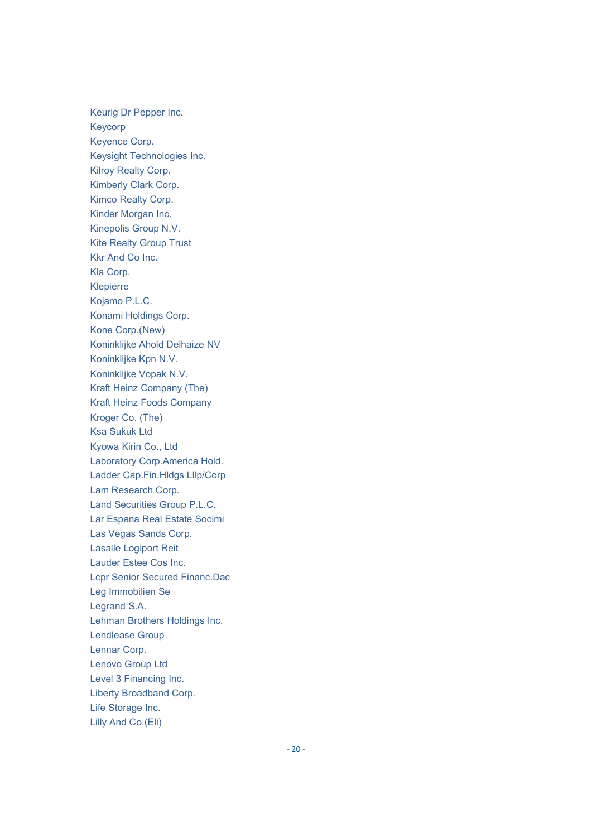Keurig Dr Pepper Inc. Keycorp Keyence Corp. Keysight Technologies Inc. **Kilroy Realty Corp.** Kimberly Clark Corp. Kimco Realty Corp. Kinder Morgan Inc. Kinepolis Group N.V. **Kite Realty Group Trust** Kkr And Co Inc. Kla Corp. Klepierre Kojamo P.L.C. Konami Holdings Corp. Kone Corp.(New) Koninklijke Ahold Delhaize NV Koninklijke Kpn N.V. Koninklijke Vopak N.V. Kraft Heinz Company (The) **Kraft Heinz Foods Company** Kroger Co. (The) **Ksa Sukuk Ltd** Kyowa Kirin Co., Ltd Laboratory Corp.America Hold. Ladder Cap.Fin.Hldgs Lllp/Corp Lam Research Corp. Land Securities Group P.L.C. Lar Espana Real Estate Socimi Las Vegas Sands Corp. **Lasalle Logiport Reit** Lauder Estee Cos Inc. **Lcpr Senior Secured Financ.Dac** Leg Immobilien Se Legrand S.A. Lehman Brothers Holdings Inc. Lendlease Group Lennar Corp. **Lenovo Group Ltd** Level 3 Financing Inc. Liberty Broadband Corp. Life Storage Inc. Lilly And Co.(Eli)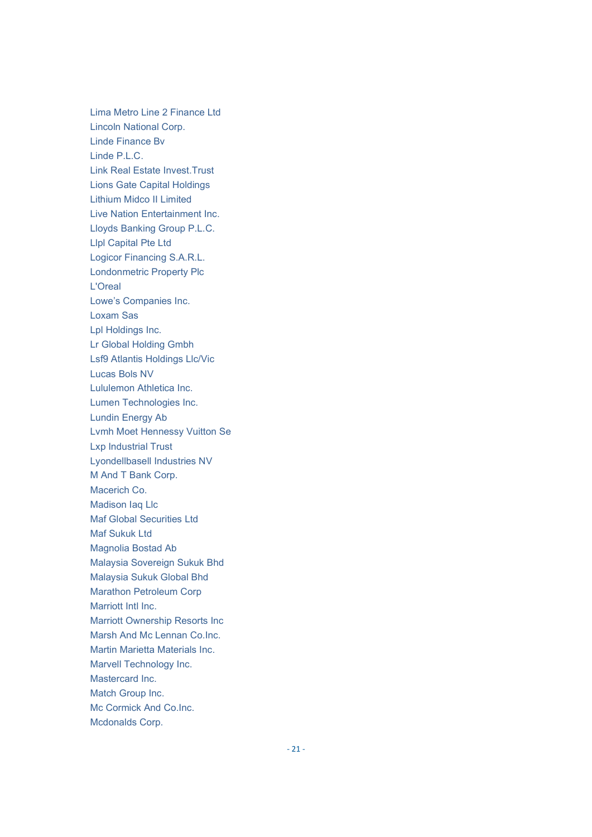Lima Metro Line 2 Finance Ltd Lincoln National Corp. Linde Finance Bv Linde P.L.C. Link Real Estate Invest.Trust Lions Gate Capital Holdings Lithium Midco II Limited Live Nation Entertainment Inc. Lloyds Banking Group P.L.C. Llpl Capital Pte Ltd Logicor Financing S.A.R.L. Londonmetric Property Plc L'Oreal Lowe's Companies Inc. Loxam Sas Lpl Holdings Inc. Lr Global Holding Gmbh Lsf9 Atlantis Holdings Llc/Vic Lucas Bols NV Lululemon Athletica Inc. Lumen Technologies Inc. Lundin Energy Ab Lvmh Moet Hennessy Vuitton Se Lxp Industrial Trust Lyondellbasell Industries NV M And T Bank Corp. Macerich Co. Madison Iaq Llc Maf Global Securities Ltd Maf Sukuk Ltd Magnolia Bostad Ab Malaysia Sovereign Sukuk Bhd Malaysia Sukuk Global Bhd Marathon Petroleum Corp Marriott Intl Inc. Marriott Ownership Resorts Inc Marsh And Mc Lennan Co.Inc. Martin Marietta Materials Inc. Marvell Technology Inc. Mastercard Inc. Match Group Inc. Mc Cormick And Co.Inc. Mcdonalds Corp.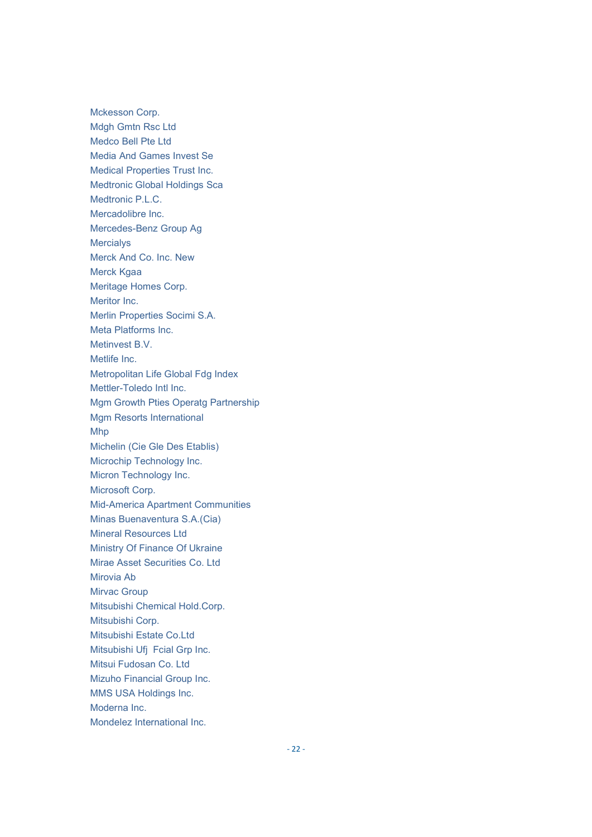Mckesson Corp. Mdgh Gmtn Rsc Ltd Medco Bell Pte Ltd Media And Games Invest Se Medical Properties Trust Inc. Medtronic Global Holdings Sca Medtronic P.L.C. Mercadolibre Inc. Mercedes-Benz Group Ag **Mercialys** Merck And Co. Inc. New Merck Kgaa Meritage Homes Corp. Meritor Inc. Merlin Properties Socimi S.A. Meta Platforms Inc. Metinvest **B** V Metlife Inc. Metropolitan Life Global Fdg Index Mettler-Toledo Intl Inc. Mgm Growth Pties Operatg Partnership Mgm Resorts International Mhp Michelin (Cie Gle Des Etablis) Microchip Technology Inc. Micron Technology Inc. Microsoft Corp. Mid-America Apartment Communities Minas Buenaventura S.A.(Cia) Mineral Resources Ltd Ministry Of Finance Of Ukraine Mirae Asset Securities Co. Ltd Mirovia Ab Mirvac Group Mitsubishi Chemical Hold.Corp. Mitsubishi Corp. Mitsubishi Estate Co.Ltd Mitsubishi Ufj Fcial Grp Inc. Mitsui Fudosan Co. Ltd Mizuho Financial Group Inc. MMS USA Holdings Inc. Moderna Inc. Mondelez International Inc.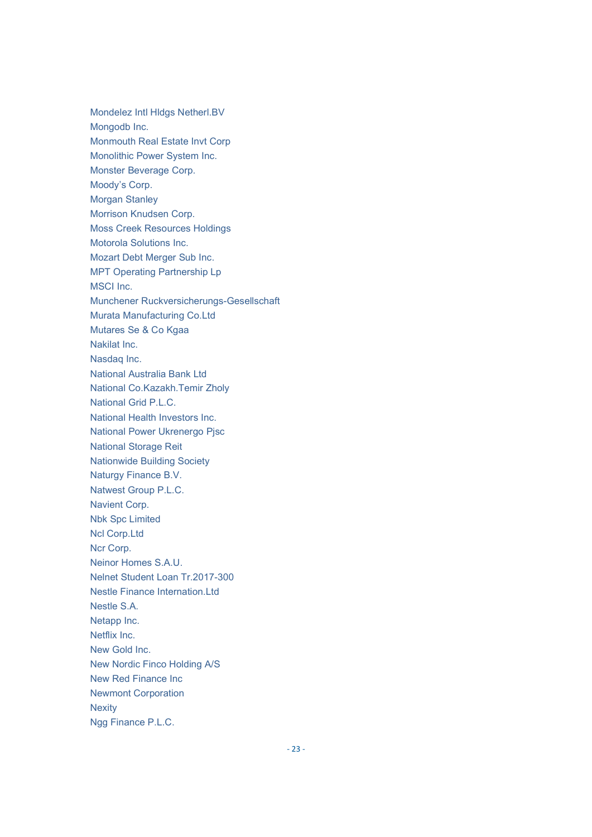Mondelez Intl Hldgs Netherl.BV Mongodb Inc. Monmouth Real Estate Invt Corp Monolithic Power System Inc. Monster Beverage Corp. Moody's Corp. Morgan Stanley Morrison Knudsen Corp. Moss Creek Resources Holdings Motorola Solutions Inc. Mozart Debt Merger Sub Inc. MPT Operating Partnership Lp MSCI Inc. Munchener Ruckversicherungs-Gesellschaft Murata Manufacturing Co.Ltd Mutares Se & Co Kgaa Nakilat Inc. Nasdaq Inc. National Australia Bank Ltd National Co.Kazakh.Temir Zholy National Grid P.L.C. National Health Investors Inc. National Power Ukrenergo Pjsc National Storage Reit Nationwide Building Society Naturgy Finance B.V. Natwest Group P.L.C. Navient Corp. Nbk Spc Limited Ncl Corp.Ltd Ncr Corp. Neinor Homes S.A.U. Nelnet Student Loan Tr.2017-300 Nestle Finance Internation.Ltd Nestle S.A. Netapp Inc. Netflix Inc. New Gold Inc. New Nordic Finco Holding A/S New Red Finance Inc Newmont Corporation **Nexity** Ngg Finance P.L.C.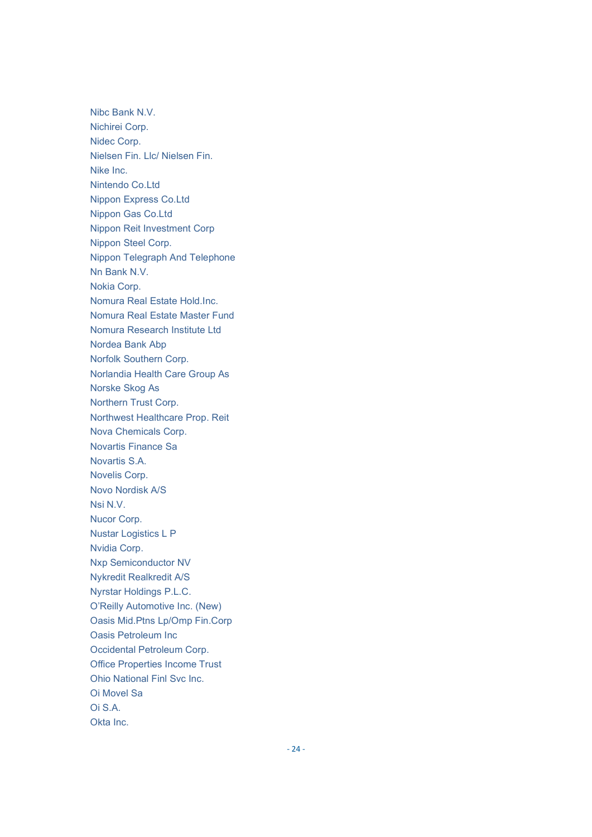Nibc Bank N.V. Nichirei Corp. Nidec Corp. Nielsen Fin. Llc/ Nielsen Fin. Nike Inc. Nintendo Co.Ltd Nippon Express Co.Ltd Nippon Gas Co.Ltd Nippon Reit Investment Corp Nippon Steel Corp. Nippon Telegraph And Telephone Nn Bank N.V. Nokia Corp. Nomura Real Estate Hold.Inc. Nomura Real Estate Master Fund Nomura Research Institute Ltd Nordea Bank Abp Norfolk Southern Corp. Norlandia Health Care Group As Norske Skog As Northern Trust Corp. Northwest Healthcare Prop. Reit Nova Chemicals Corp. Novartis Finance Sa Novartis S.A. Novelis Corp. Novo Nordisk A/S Nsi N.V. Nucor Corp. Nustar Logistics L P Nvidia Corp. Nxp Semiconductor NV Nykredit Realkredit A/S Nyrstar Holdings P.L.C. O'Reilly Automotive Inc. (New) Oasis Mid.Ptns Lp/Omp Fin.Corp Oasis Petroleum Inc Occidental Petroleum Corp. Office Properties Income Trust Ohio National Finl Svc Inc. Oi Movel Sa  $Oi S A$ Okta Inc.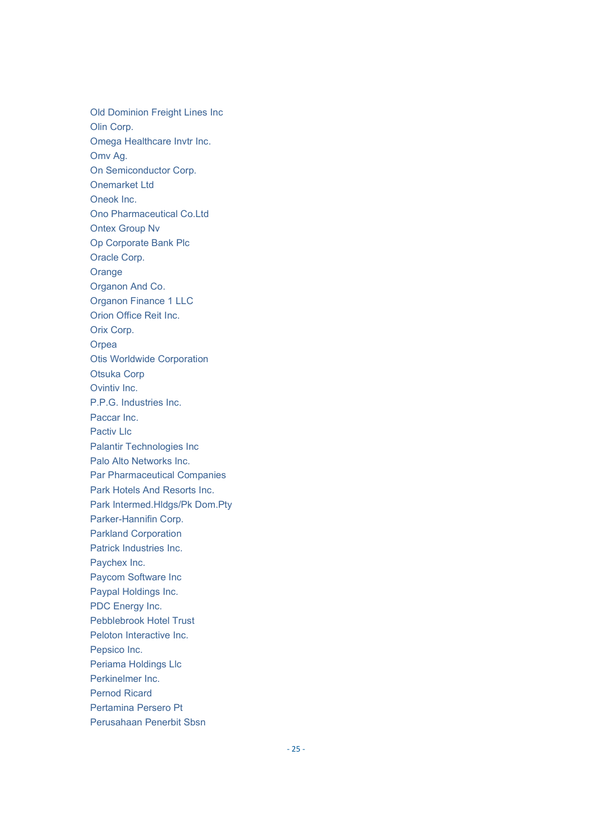Old Dominion Freight Lines Inc Olin Corp. Omega Healthcare Invtr Inc. Omv Aq. On Semiconductor Corp. **Onemarket Ltd** Oneok Inc. Ono Pharmaceutical Co.Ltd **Ontex Group Nv** Op Corporate Bank Plc Oracle Corp. Orange Organon And Co. **Organon Finance 1 LLC** Orion Office Reit Inc. Orix Corp. Orpea **Otis Worldwide Corporation Otsuka Corp** Ovintiv Inc. P.P.G. Industries Inc. Paccar Inc. Pactiv Llc **Palantir Technologies Inc** Palo Alto Networks Inc. **Par Pharmaceutical Companies** Park Hotels And Resorts Inc. Park Intermed.HIdgs/Pk Dom.Pty Parker-Hannifin Corp. **Parkland Corporation** Patrick Industries Inc. Paychex Inc. Paycom Software Inc Paypal Holdings Inc. PDC Energy Inc. Pebblebrook Hotel Trust Peloton Interactive Inc. Pepsico Inc. Periama Holdings Llc Perkinelmer Inc. **Pernod Ricard** Pertamina Persero Pt Perusahaan Penerbit Sbsn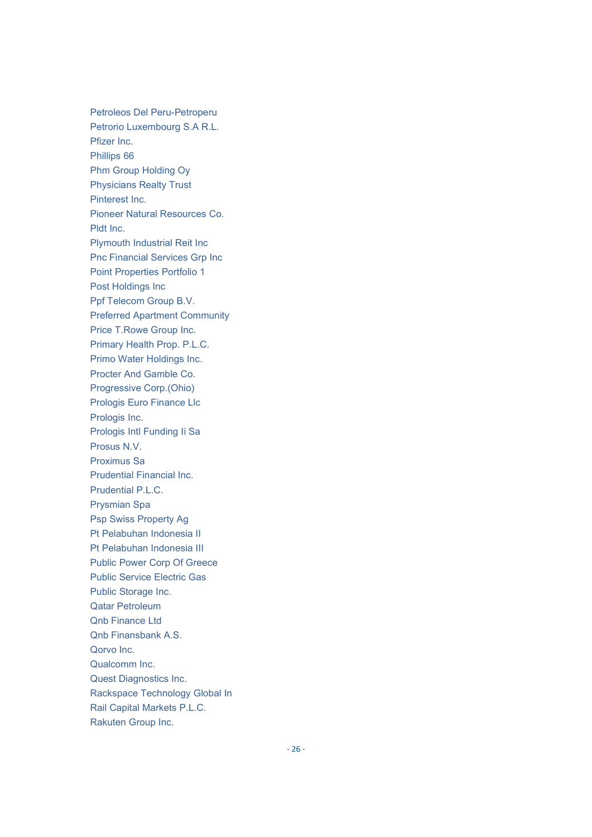Petroleos Del Peru-Petroperu Petrorio Luxembourg S.A R.L. Pfizer Inc. Phillips 66 Phm Group Holding Oy Physicians Realty Trust Pinterest Inc. Pioneer Natural Resources Co. Pldt Inc. Plymouth Industrial Reit Inc Pnc Financial Services Grp Inc Point Properties Portfolio 1 Post Holdings Inc Ppf Telecom Group B.V. Preferred Apartment Community Price T.Rowe Group Inc. Primary Health Prop. P.L.C. Primo Water Holdings Inc. Procter And Gamble Co. Progressive Corp.(Ohio) Prologis Euro Finance Llc Prologis Inc. Prologis Intl Funding Ii Sa Prosus N.V. Proximus Sa Prudential Financial Inc. Prudential P.L.C. Prysmian Spa Psp Swiss Property Ag Pt Pelabuhan Indonesia II Pt Pelabuhan Indonesia III Public Power Corp Of Greece Public Service Electric Gas Public Storage Inc. Qatar Petroleum Qnb Finance Ltd Qnb Finansbank A.S. Qorvo Inc. Qualcomm Inc. Quest Diagnostics Inc. Rackspace Technology Global In Rail Capital Markets P.L.C. Rakuten Group Inc.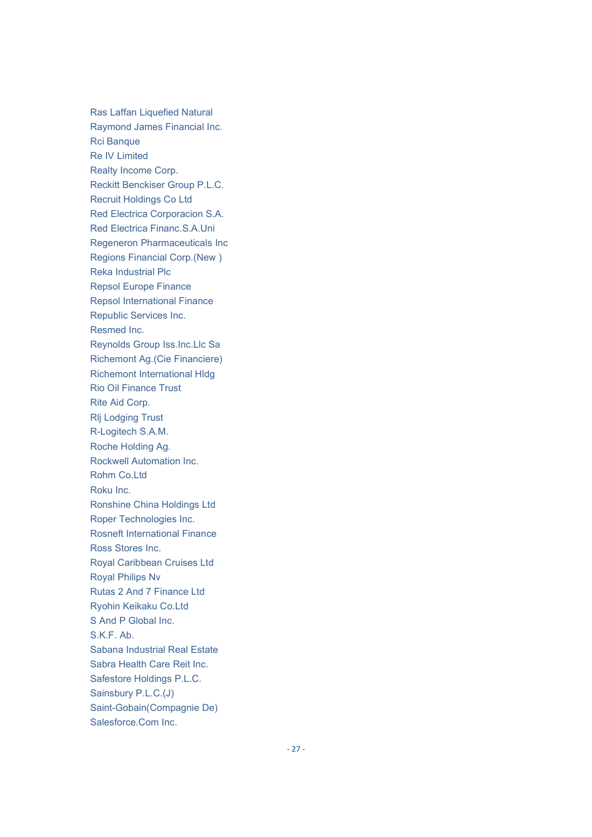Ras Laffan Liquefied Natural Raymond James Financial Inc. Rci Banque Re IV Limited Realty Income Corp. Reckitt Benckiser Group P.L.C. Recruit Holdings Co Ltd Red Electrica Corporacion S.A. Red Electrica Financ.S.A.Uni Regeneron Pharmaceuticals Inc Regions Financial Corp.(New ) Reka Industrial Plc Repsol Europe Finance Repsol International Finance Republic Services Inc. Resmed Inc. Reynolds Group Iss.Inc.Llc Sa Richemont Ag.(Cie Financiere) Richemont International Hldg Rio Oil Finance Trust Rite Aid Corp. Rlj Lodging Trust R-Logitech S.A.M. Roche Holding Ag. Rockwell Automation Inc. Rohm Co.Ltd Roku Inc. Ronshine China Holdings Ltd Roper Technologies Inc. Rosneft International Finance Ross Stores Inc. Royal Caribbean Cruises Ltd Royal Philips Nv Rutas 2 And 7 Finance Ltd Ryohin Keikaku Co.Ltd S And P Global Inc. S.K.F. Ab. Sabana Industrial Real Estate Sabra Health Care Reit Inc. Safestore Holdings P.L.C. Sainsbury P.L.C.(J) Saint-Gobain(Compagnie De) Salesforce.Com Inc.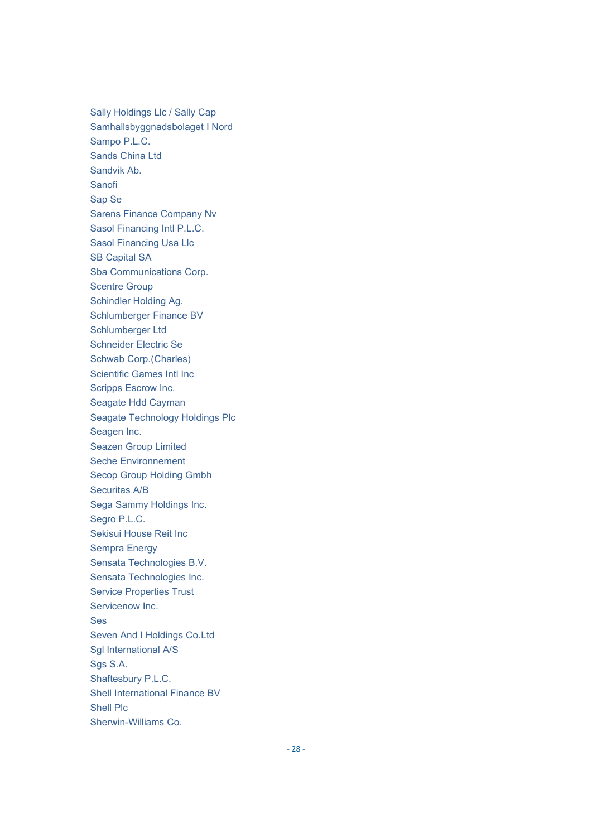Sally Holdings Llc / Sally Cap Samhallsbyggnadsbolaget I Nord Sampo P.L.C. Sands China Ltd Sandvik Ab. Sanofi Sap Se Sarens Finance Company Nv Sasol Financing Intl P.L.C. Sasol Financing Usa Llc SB Capital SA Sba Communications Corp. Scentre Group Schindler Holding Ag. Schlumberger Finance BV Schlumberger Ltd Schneider Electric Se Schwab Corp.(Charles) Scientific Games Intl Inc Scripps Escrow Inc. Seagate Hdd Cayman Seagate Technology Holdings Plc Seagen Inc. Seazen Group Limited Seche Environnement Secop Group Holding Gmbh Securitas A/B Sega Sammy Holdings Inc. Segro P.L.C. Sekisui House Reit Inc Sempra Energy Sensata Technologies B.V. Sensata Technologies Inc. Service Properties Trust Servicenow Inc. Ses Seven And I Holdings Co.Ltd Sgl International A/S Sgs S.A. Shaftesbury P.L.C. Shell International Finance BV Shell Plc Sherwin-Williams Co.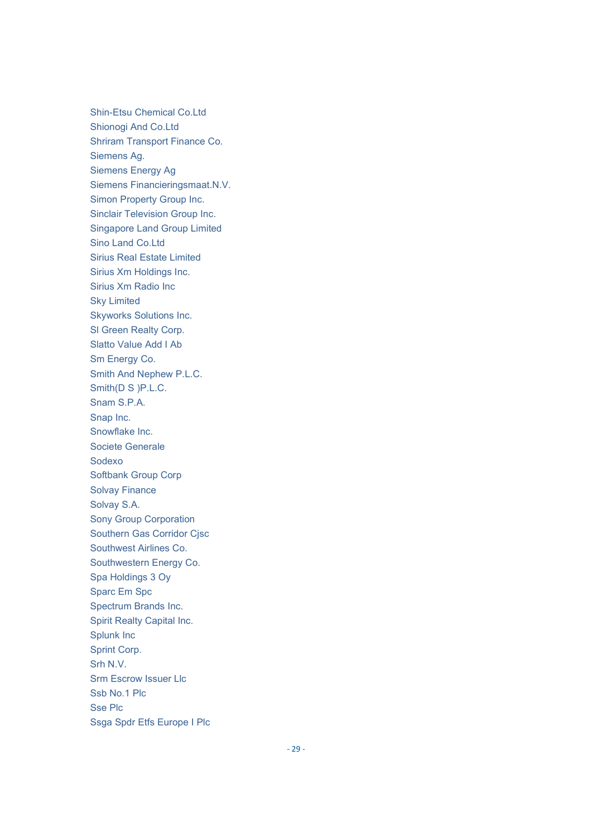Shin-Etsu Chemical Co.Ltd Shionogi And Co.Ltd Shriram Transport Finance Co. Siemens Ag. Siemens Energy Ag Siemens Financieringsmaat.N.V. Simon Property Group Inc. Sinclair Television Group Inc. Singapore Land Group Limited Sino Land Co.Ltd Sirius Real Estate Limited Sirius Xm Holdings Inc. Sirius Xm Radio Inc Sky Limited Skyworks Solutions Inc. Sl Green Realty Corp. Slatto Value Add I Ab Sm Energy Co. Smith And Nephew P.L.C. Smith(D S )P.L.C. Snam S.P.A. Snap Inc. Snowflake Inc. Societe Generale Sodexo Softbank Group Corp Solvay Finance Solvay S.A. Sony Group Corporation Southern Gas Corridor Cjsc Southwest Airlines Co. Southwestern Energy Co. Spa Holdings 3 Oy Sparc Em Spc Spectrum Brands Inc. Spirit Realty Capital Inc. Splunk Inc Sprint Corp. Srh N.V. Srm Escrow Issuer Llc Ssb No.1 Plc Sse Plc Ssga Spdr Etfs Europe I Plc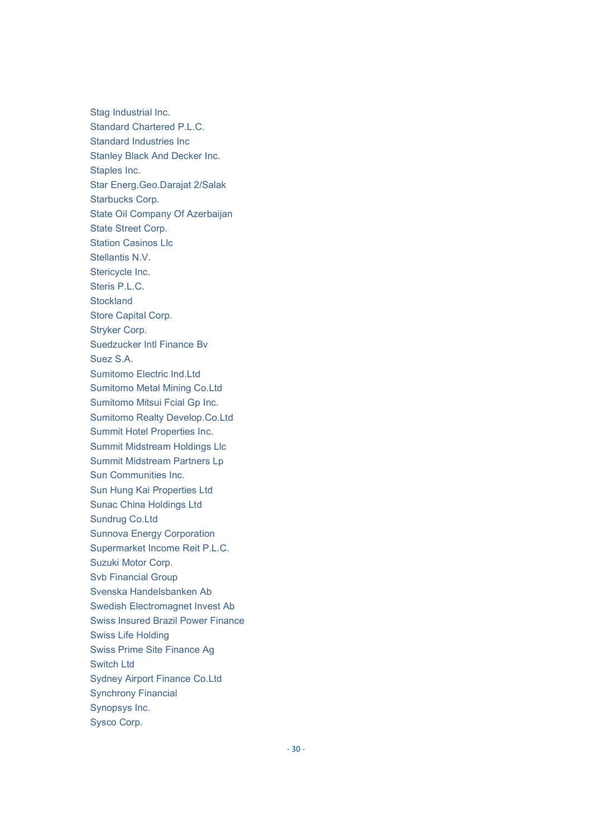Stag Industrial Inc. Standard Chartered P.L.C. Standard Industries Inc Stanley Black And Decker Inc. Staples Inc. Star Energ.Geo.Darajat 2/Salak Starbucks Corp. State Oil Company Of Azerbaijan State Street Corp. Station Casinos Llc Stellantis N.V. Stericycle Inc. Steris P.L.C. **Stockland** Store Capital Corp. Stryker Corp. Suedzucker Intl Finance Bv Suez S.A. Sumitomo Electric Ind.Ltd Sumitomo Metal Mining Co.Ltd Sumitomo Mitsui Fcial Gp Inc. Sumitomo Realty Develop.Co.Ltd Summit Hotel Properties Inc. Summit Midstream Holdings Llc Summit Midstream Partners Lp Sun Communities Inc. Sun Hung Kai Properties Ltd Sunac China Holdings Ltd Sundrug Co.Ltd Sunnova Energy Corporation Supermarket Income Reit P.L.C. Suzuki Motor Corp. Svb Financial Group Svenska Handelsbanken Ab Swedish Electromagnet Invest Ab Swiss Insured Brazil Power Finance Swiss Life Holding Swiss Prime Site Finance Ag Switch Ltd Sydney Airport Finance Co.Ltd Synchrony Financial Synopsys Inc. Sysco Corp.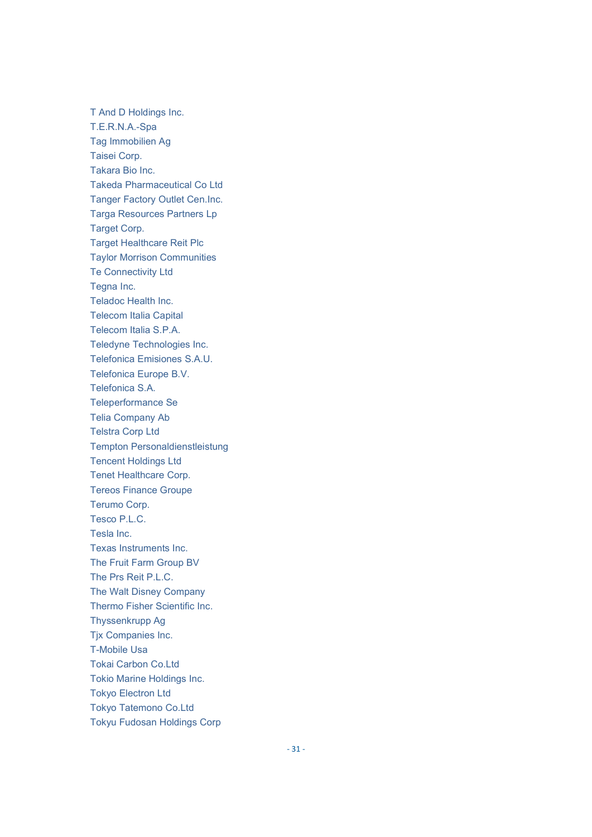T And D Holdings Inc. T.E.R.N.A.-Spa Tag Immobilien Ag Taisei Corp. Takara Bio Inc. Takeda Pharmaceutical Co Ltd Tanger Factory Outlet Cen.Inc. Targa Resources Partners Lp Target Corp. Target Healthcare Reit Plc Taylor Morrison Communities Te Connectivity Ltd Tegna Inc. Teladoc Health Inc. Telecom Italia Capital Telecom Italia S.P.A. Teledyne Technologies Inc. Telefonica Emisiones S.A.U. Telefonica Europe B.V. Telefonica S.A. Teleperformance Se Telia Company Ab Telstra Corp Ltd Tempton Personaldienstleistung Tencent Holdings Ltd Tenet Healthcare Corp. Tereos Finance Groupe Terumo Corp. Tesco P.L.C. Tesla Inc. Texas Instruments Inc. The Fruit Farm Group BV The Prs Reit P.L.C. The Walt Disney Company Thermo Fisher Scientific Inc. Thyssenkrupp Ag Tjx Companies Inc. T-Mobile Usa Tokai Carbon Co.Ltd Tokio Marine Holdings Inc. Tokyo Electron Ltd Tokyo Tatemono Co.Ltd Tokyu Fudosan Holdings Corp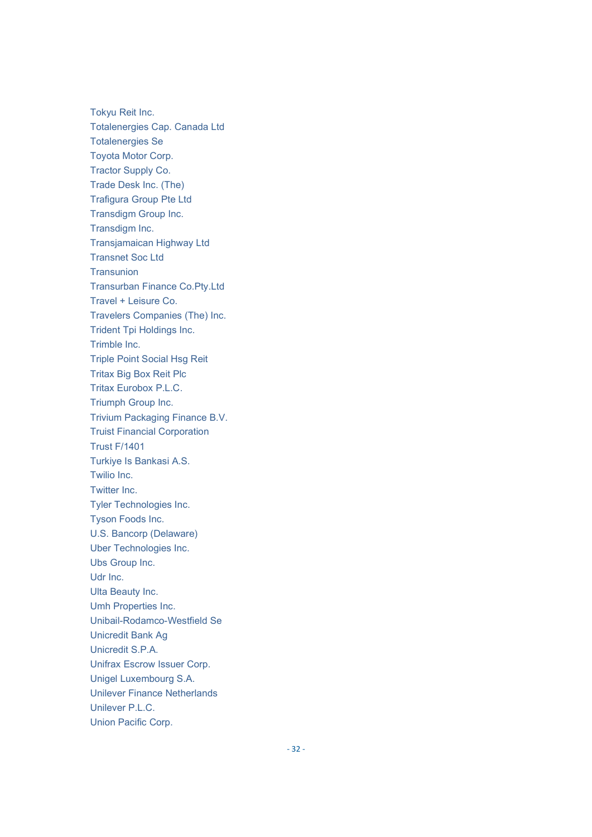Tokyu Reit Inc. Totalenergies Cap. Canada Ltd Totalenergies Se Toyota Motor Corp. Tractor Supply Co. Trade Desk Inc. (The) Trafigura Group Pte Ltd Transdigm Group Inc. Transdigm Inc. Transjamaican Highway Ltd Transnet Soc Ltd **Transunion** Transurban Finance Co.Pty.Ltd Travel + Leisure Co. Travelers Companies (The) Inc. Trident Tpi Holdings Inc. Trimble Inc. Triple Point Social Hsg Reit Tritax Big Box Reit Plc Tritax Eurobox P.L.C. Triumph Group Inc. Trivium Packaging Finance B.V. Truist Financial Corporation Trust F/1401 Turkiye Is Bankasi A.S. Twilio Inc. Twitter Inc. Tyler Technologies Inc. Tyson Foods Inc. U.S. Bancorp (Delaware) Uber Technologies Inc. Ubs Group Inc. Udr Inc. Ulta Beauty Inc. Umh Properties Inc. Unibail-Rodamco-Westfield Se Unicredit Bank Ag Unicredit S.P.A. Unifrax Escrow Issuer Corp. Unigel Luxembourg S.A. Unilever Finance Netherlands Unilever P.L.C. Union Pacific Corp.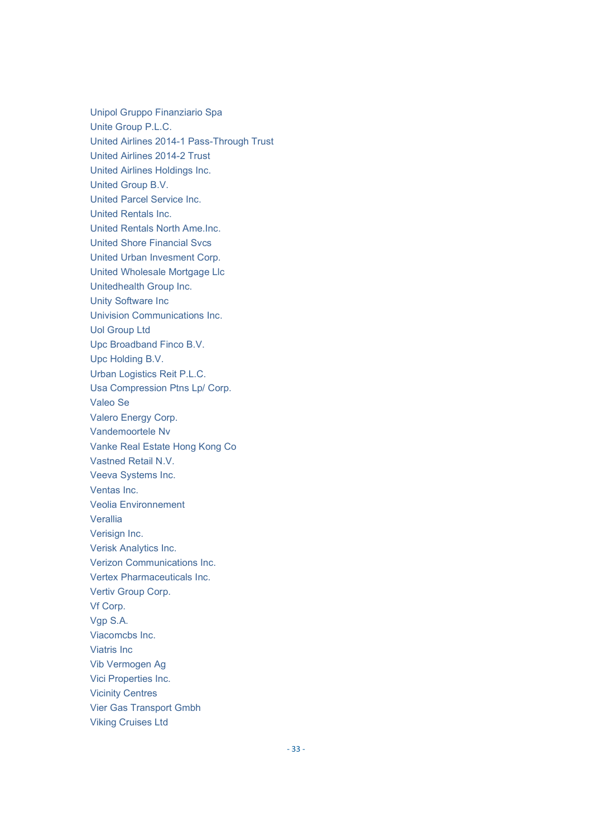Unipol Gruppo Finanziario Spa Unite Group P.L.C. United Airlines 2014-1 Pass-Through Trust United Airlines 2014-2 Trust United Airlines Holdings Inc. United Group B.V. United Parcel Service Inc. United Rentals Inc. United Rentals North Ame.Inc. United Shore Financial Svcs United Urban Invesment Corp. United Wholesale Mortgage Llc Unitedhealth Group Inc. Unity Software Inc Univision Communications Inc. Uol Group Ltd Upc Broadband Finco B.V. Upc Holding B.V. Urban Logistics Reit P.L.C. Usa Compression Ptns Lp/ Corp. Valeo Se Valero Energy Corp. Vandemoortele Nv Vanke Real Estate Hong Kong Co Vastned Retail N.V. Veeva Systems Inc. Ventas Inc. Veolia Environnement Verallia Verisign Inc. Verisk Analytics Inc. Verizon Communications Inc. Vertex Pharmaceuticals Inc. Vertiv Group Corp. Vf Corp. Vgp S.A. Viacomcbs Inc. Viatris Inc Vib Vermogen Ag Vici Properties Inc. Vicinity Centres Vier Gas Transport Gmbh Viking Cruises Ltd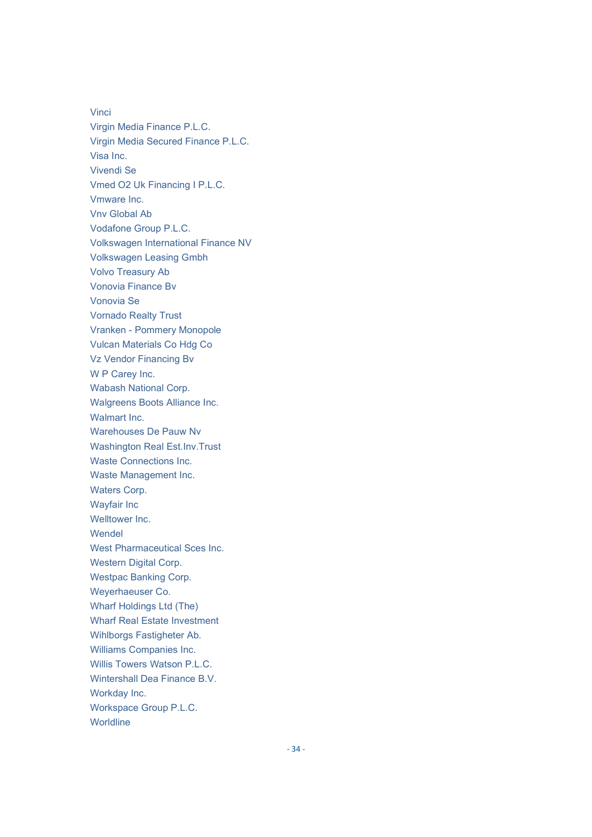Vinci Virgin Media Finance P.L.C. Virgin Media Secured Finance P.L.C. Visa Inc. Vivendi Se Vmed O2 Uk Financing I P.L.C. Vmware Inc. Vnv Global Ab Vodafone Group P.L.C. Volkswagen International Finance NV Volkswagen Leasing Gmbh Volvo Treasury Ab Vonovia Finance Bv Vonovia Se Vornado Realty Trust Vranken - Pommery Monopole Vulcan Materials Co Hdg Co Vz Vendor Financing Bv W P Carey Inc. Wabash National Corp. Walgreens Boots Alliance Inc. Walmart Inc. Warehouses De Pauw Nv Washington Real Est.Inv.Trust Waste Connections Inc. Waste Management Inc. Waters Corp. Wayfair Inc Welltower Inc. Wendel West Pharmaceutical Sces Inc. Western Digital Corp. Westpac Banking Corp. Weyerhaeuser Co. Wharf Holdings Ltd (The) Wharf Real Estate Investment Wihlborgs Fastigheter Ab. Williams Companies Inc. Willis Towers Watson P.L.C. Wintershall Dea Finance B.V. Workday Inc. Workspace Group P.L.C. **Worldline**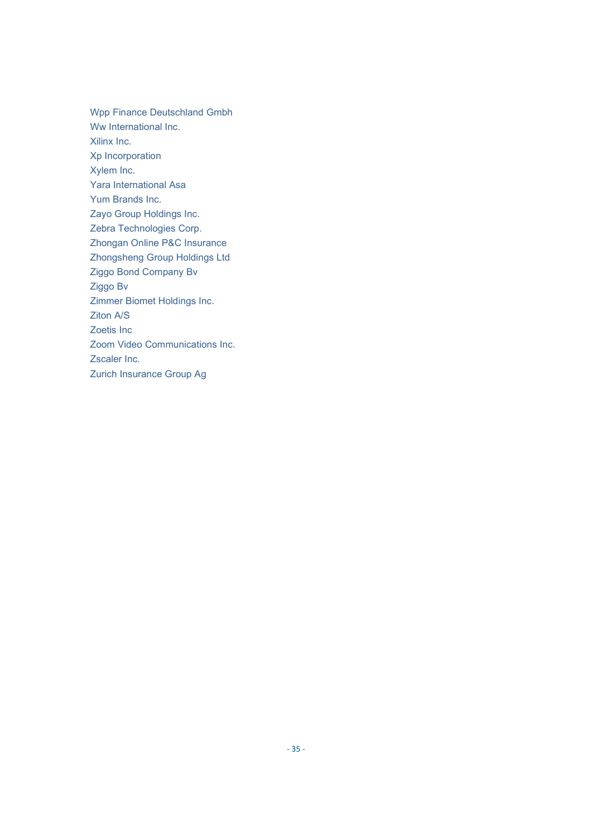Wpp Finance Deutschland Gmbh Ww International Inc. Xilinx Inc. Xp Incorporation Xylem Inc. Yara International Asa Yum Brands Inc. Zayo Group Holdings Inc. Zebra Technologies Corp. Zhongan Online P&C Insurance Zhongsheng Group Holdings Ltd Ziggo Bond Company Bv Ziggo Bv Zimmer Biomet Holdings Inc. Ziton A/S Zoetis Inc Zoom Video Communications Inc. Zscaler Inc. Zurich Insurance Group Ag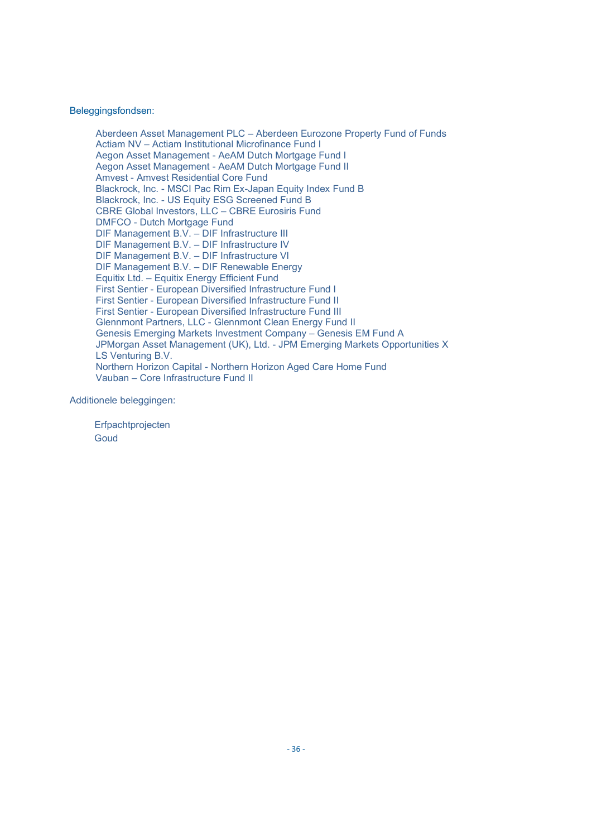#### Beleggingsfondsen:

Aberdeen Asset Management PLC – Aberdeen Eurozone Property Fund of Funds Actiam NV – Actiam Institutional Microfinance Fund I Aegon Asset Management - AeAM Dutch Mortgage Fund I Aegon Asset Management - AeAM Dutch Mortgage Fund II Amvest - Amvest Residential Core Fund Blackrock, Inc. - MSCI Pac Rim Ex-Japan Equity Index Fund B Blackrock, Inc. - US Equity ESG Screened Fund B CBRE Global Investors, LLC – CBRE Eurosiris Fund DMFCO - Dutch Mortgage Fund DIF Management B.V. – DIF Infrastructure III DIF Management B.V. – DIF Infrastructure IV DIF Management B.V. – DIF Infrastructure VI DIF Management B.V. – DIF Renewable Energy Equitix Ltd. – Equitix Energy Efficient Fund First Sentier - European Diversified Infrastructure Fund I First Sentier - European Diversified Infrastructure Fund II First Sentier - European Diversified Infrastructure Fund III Glennmont Partners, LLC - Glennmont Clean Energy Fund II Genesis Emerging Markets Investment Company – Genesis EM Fund A JPMorgan Asset Management (UK), Ltd. - JPM Emerging Markets Opportunities X LS Venturing B.V. Northern Horizon Capital - Northern Horizon Aged Care Home Fund Vauban – Core Infrastructure Fund II

Additionele beleggingen:

**Erfpachtprojecten Goud**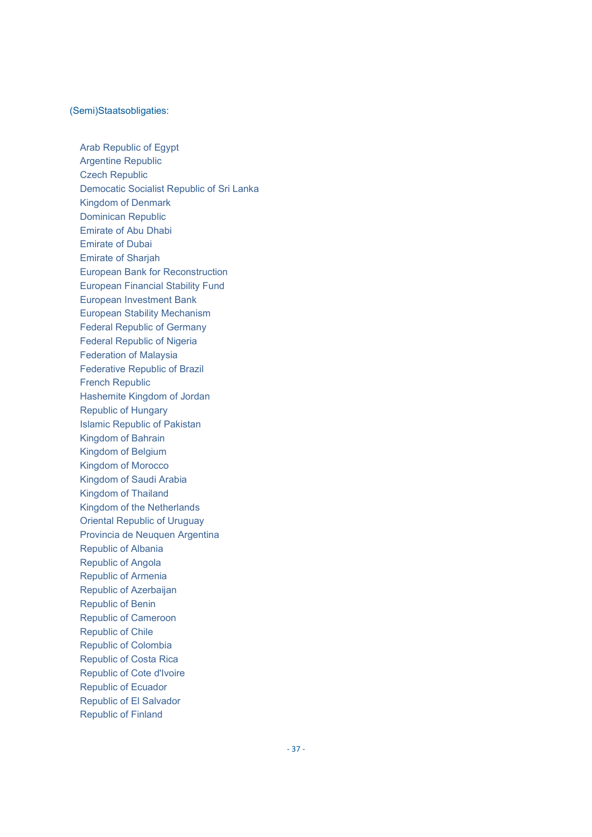#### (Semi)Staatsobligaties:

Arab Republic of Egypt Argentine Republic Czech Republic Democatic Socialist Republic of Sri Lanka Kingdom of Denmark Dominican Republic Emirate of Abu Dhabi Emirate of Dubai Emirate of Sharjah European Bank for Reconstruction European Financial Stability Fund European Investment Bank European Stability Mechanism Federal Republic of Germany Federal Republic of Nigeria Federation of Malaysia Federative Republic of Brazil French Republic Hashemite Kingdom of Jordan Republic of Hungary Islamic Republic of Pakistan Kingdom of Bahrain Kingdom of Belgium Kingdom of Morocco Kingdom of Saudi Arabia Kingdom of Thailand Kingdom of the Netherlands Oriental Republic of Uruguay Provincia de Neuquen Argentina Republic of Albania Republic of Angola Republic of Armenia Republic of Azerbaijan Republic of Benin Republic of Cameroon Republic of Chile Republic of Colombia Republic of Costa Rica Republic of Cote d'Ivoire Republic of Ecuador Republic of El Salvador Republic of Finland